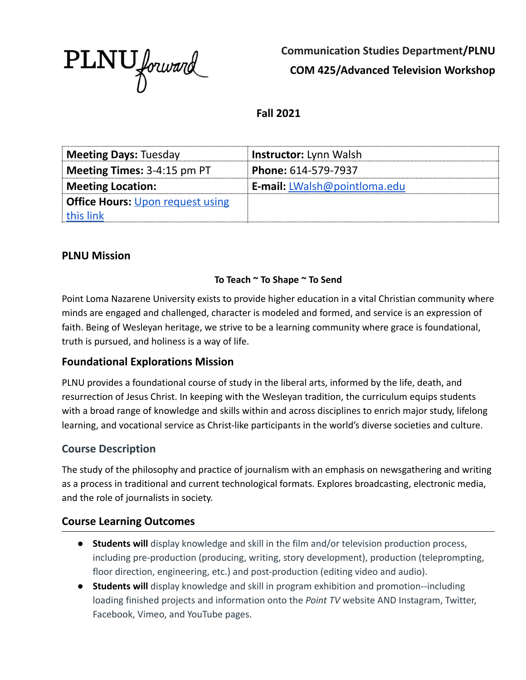

**Communication Studies Department/PLNU COM 425/Advanced Television Workshop**

**Fall 2021**

| <b>Meeting Days: Tuesday</b>            | <b>Instructor:</b> Lynn Walsh       |
|-----------------------------------------|-------------------------------------|
| <b>Meeting Times:</b> $3-4:15$ pm PT    | <b>Phone:</b> $614 - 579 - 7937$    |
| <b>Meeting Location:</b>                | <b>E-mail:</b> LWalsh@pointloma.edu |
| <b>Office Hours: Upon request using</b> |                                     |
| this link                               |                                     |

### **PLNU Mission**

#### **To Teach ~ To Shape ~ To Send**

Point Loma Nazarene University exists to provide higher education in a vital Christian community where minds are engaged and challenged, character is modeled and formed, and service is an expression of faith. Being of Wesleyan heritage, we strive to be a learning community where grace is foundational, truth is pursued, and holiness is a way of life.

## **Foundational Explorations Mission**

PLNU provides a foundational course of study in the liberal arts, informed by the life, death, and resurrection of Jesus Christ. In keeping with the Wesleyan tradition, the curriculum equips students with a broad range of knowledge and skills within and across disciplines to enrich major study, lifelong learning, and vocational service as Christ-like participants in the world's diverse societies and culture.

## **Course Description**

The study of the philosophy and practice of journalism with an emphasis on newsgathering and writing as a process in traditional and current technological formats. Explores broadcasting, electronic media, and the role of journalists in society.

### **Course Learning Outcomes**

- **Students will** display knowledge and skill in the film and/or television production process, including pre-production (producing, writing, story development), production (teleprompting, floor direction, engineering, etc.) and post-production (editing video and audio).
- **● Students will** display knowledge and skill in program exhibition and promotion--including loading finished projects and information onto the *Point TV* website AND Instagram, Twitter, Facebook, Vimeo, and YouTube pages.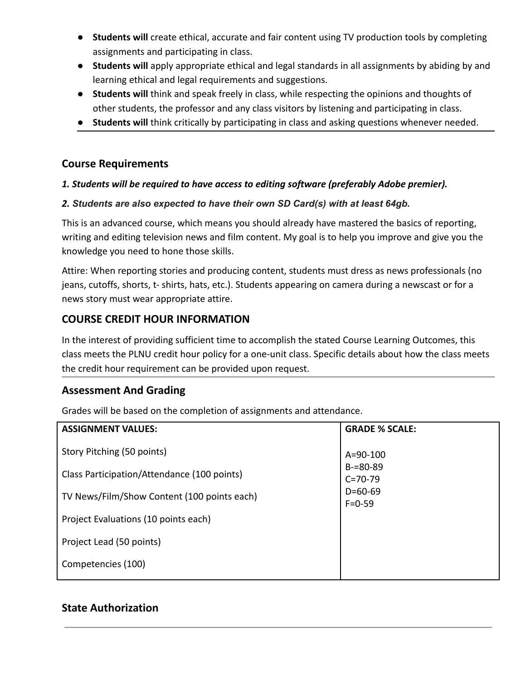- **● Students will** create ethical, accurate and fair content using TV production tools by completing assignments and participating in class.
- **Students will** apply appropriate ethical and legal standards in all assignments by abiding by and learning ethical and legal requirements and suggestions.
- **Students will** think and speak freely in class, while respecting the opinions and thoughts of other students, the professor and any class visitors by listening and participating in class.
- **Students will** think critically by participating in class and asking questions whenever needed.

### **Course Requirements**

#### *1. Students will be required to have access to editing software (preferably Adobe premier).*

#### *2. Students are also expected to have their own SD Card(s) with at least 64gb.*

This is an advanced course, which means you should already have mastered the basics of reporting, writing and editing television news and film content. My goal is to help you improve and give you the knowledge you need to hone those skills.

Attire: When reporting stories and producing content, students must dress as news professionals (no jeans, cutoffs, shorts, t- shirts, hats, etc.). Students appearing on camera during a newscast or for a news story must wear appropriate attire.

## **COURSE CREDIT HOUR INFORMATION**

In the interest of providing sufficient time to accomplish the stated Course Learning Outcomes, this class meets the PLNU credit hour policy for a one-unit class. Specific details about how the class meets the credit hour requirement can be provided upon request.

### **Assessment And Grading**

Grades will be based on the completion of assignments and attendance.

| <b>ASSIGNMENT VALUES:</b>                   | <b>GRADE % SCALE:</b>          |
|---------------------------------------------|--------------------------------|
| Story Pitching (50 points)                  | $A = 90 - 100$                 |
| Class Participation/Attendance (100 points) | $B = 80 - 89$<br>$C = 70 - 79$ |
| TV News/Film/Show Content (100 points each) | $D=60-69$<br>$F = 0.59$        |
| Project Evaluations (10 points each)        |                                |
| Project Lead (50 points)                    |                                |
| Competencies (100)                          |                                |

### **State Authorization**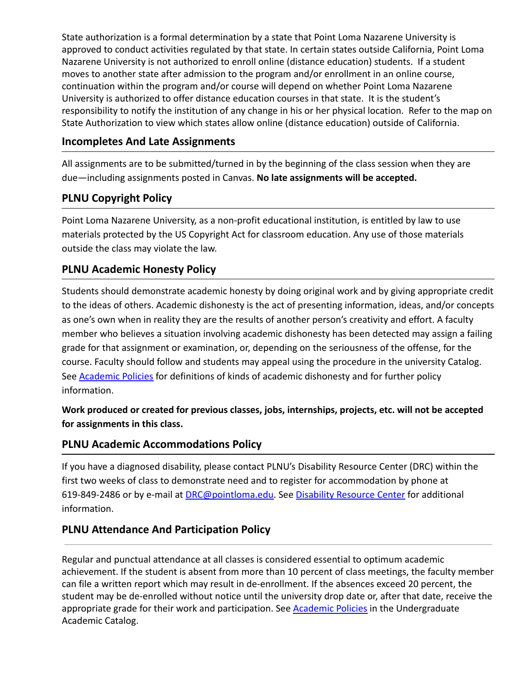State authorization is a formal determination by a state that Point Loma Nazarene University is approved to conduct activities regulated by that state. In certain states outside California, Point Loma Nazarene University is not authorized to enroll online (distance education) students. If a student moves to another state after admission to the program and/or enrollment in an online course, continuation within the program and/or course will depend on whether Point Loma Nazarene University is authorized to offer distance education courses in that state. It is the student's responsibility to notify the institution of any change in his or her physical location. Refer to the map on State Authorization to view which states allow online (distance education) outside of California.

### **Incompletes And Late Assignments**

All assignments are to be submitted/turned in by the beginning of the class session when they are due—including assignments posted in Canvas. **No late assignments will be accepted.**

## **PLNU Copyright Policy**

Point Loma Nazarene University, as a non-profit educational institution, is entitled by law to use materials protected by the US Copyright Act for classroom education. Any use of those materials outside the class may violate the law.

## **PLNU Academic Honesty Policy**

Students should demonstrate academic honesty by doing original work and by giving appropriate credit to the ideas of others. Academic dishonesty is the act of presenting information, ideas, and/or concepts as one's own when in reality they are the results of another person's creativity and effort. A faculty member who believes a situation involving academic dishonesty has been detected may assign a failing grade for that assignment or examination, or, depending on the seriousness of the offense, for the course. Faculty should follow and students may appeal using the procedure in the university Catalog. See [Academic Policies](http://catalog.pointloma.edu/content.php?catoid=18&navoid=1278) for definitions of kinds of academic dishonesty and for further policy information.

**Work produced or created for previous classes, jobs, internships, projects, etc. will not be accepted for assignments in this class.**

## **PLNU Academic Accommodations Policy**

If you have a diagnosed disability, please contact PLNU's Disability Resource Center (DRC) within the first two weeks of class to demonstrate need and to register for accommodation by phone at 619-849-2486 or by e-mail at [DRC@pointloma.edu.](mailto:DRC@pointloma.edu) See [Disability Resource Center](http://www.pointloma.edu/experience/offices/administrative-offices/academic-advising-office/disability-resource-center) for additional information.

## **PLNU Attendance And Participation Policy**

Regular and punctual attendance at all classes is considered essential to optimum academic achievement. If the student is absent from more than 10 percent of class meetings, the faculty member can file a written report which may result in de-enrollment. If the absences exceed 20 percent, the student may be de-enrolled without notice until the university drop date or, after that date, receive the appropriate grade for their work and participation. See [Academic Policies](http://catalog.pointloma.edu/content.php?catoid=18&navoid=1278) in the Undergraduate Academic Catalog.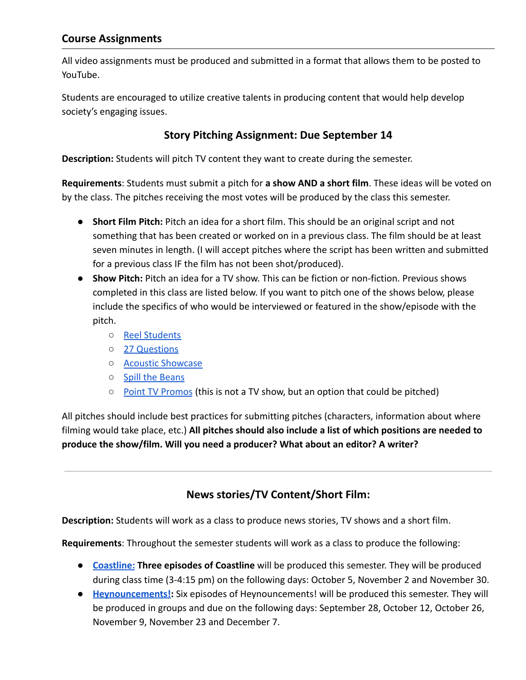### **Course Assignments**

All video assignments must be produced and submitted in a format that allows them to be posted to YouTube.

Students are encouraged to utilize creative talents in producing content that would help develop society's engaging issues.

## **Story Pitching Assignment: Due September 14**

**Description:** Students will pitch TV content they want to create during the semester.

**Requirements**: Students must submit a pitch for **a show AND a short film**. These ideas will be voted on by the class. The pitches receiving the most votes will be produced by the class this semester.

- **Short Film Pitch:** Pitch an idea for a short film. This should be an original script and not something that has been created or worked on in a previous class. The film should be at least seven minutes in length. (I will accept pitches where the script has been written and submitted for a previous class IF the film has not been shot/produced).
- **● Show Pitch:** Pitch an idea for a TV show. This can be fiction or non-fiction. Previous shows completed in this class are listed below. If you want to pitch one of the shows below, please include the specifics of who would be interviewed or featured in the show/episode with the pitch.
	- [Reel Students](https://www.youtube.com/playlist?list=PLWzAACvpIghfBA1_4mOQHEqZeW-shpMR1)
	- [27 Questions](https://www.youtube.com/playlist?list=PLWzAACvpIgheHIn2Cln25OfvgK_5U3jEr)
	- [Acoustic Showcase](https://www.youtube.com/playlist?list=PLWzAACvpIghfaoYGPCPJ0XN9Fvkr5B-Ob)
	- [Spill the Beans](https://www.youtube.com/playlist?list=PLWzAACvpIghf9BPIMWFn1-FLDp2C4zCnx)
	- [Point TV Promos](https://www.youtube.com/playlist?list=PLWzAACvpIghcQdY05o9bvj9w3k_xCK-p_) (this is not a TV show, but an option that could be pitched)

All pitches should include best practices for submitting pitches (characters, information about where filming would take place, etc.) **All pitches should also include a list of which positions are needed to produce the show/film. Will you need a producer? What about an editor? A writer?**

## **News stories/TV Content/Short Film:**

**Description:** Students will work as a class to produce news stories, TV shows and a short film.

**Requirements**: Throughout the semester students will work as a class to produce the following:

- **● [Coastline:](https://www.youtube.com/playlist?list=PLWzAACvpIghegtH5D9cadQjMJCflbM2CE) Three episodes of Coastline** will be produced this semester. They will be produced during class time (3-4:15 pm) on the following days: October 5, November 2 and November 30.
- **● [Heynouncements!](https://www.youtube.com/playlist?list=PLWzAACvpIghfBgHJJUCp06xG9308T6K9q):** Six episodes of Heynouncements! will be produced this semester. They will be produced in groups and due on the following days: September 28, October 12, October 26, November 9, November 23 and December 7.